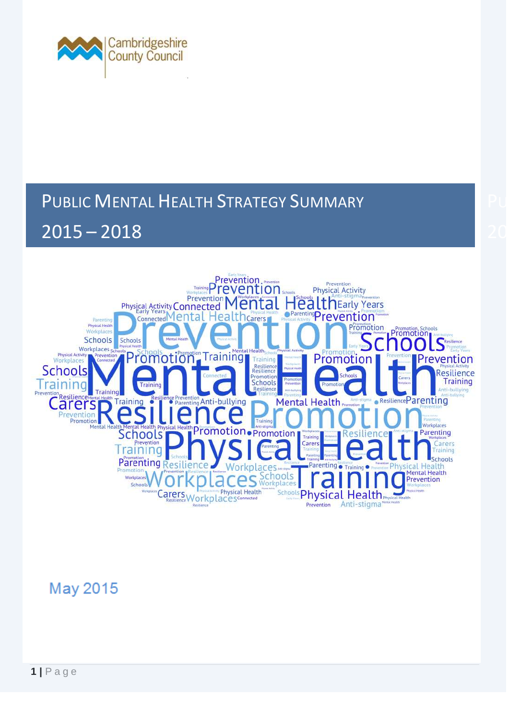

# PUBLIC MENTAL HEALTH STRATEGY SUMMARY 2015 – 2018



May 2015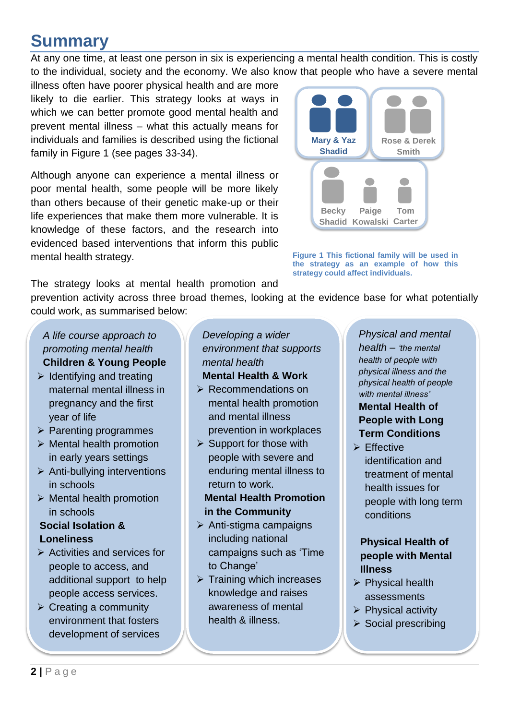### **Summary**

At any one time, at least one person in six is experiencing a mental health condition. This is costly to the individual, society and the economy. We also know that people who have a severe mental

illness often have poorer physical health and are more likely to die earlier. This strategy looks at ways in which we can better promote good mental health and prevent mental illness – what this actually means for individuals and families is described using the fictional family in [Figure 1](#page-1-0) (see pages 33-34).

Although anyone can experience a mental illness or poor mental health, some people will be more likely than others because of their genetic make-up or their life experiences that make them more vulnerable. It is knowledge of these factors, and the research into evidenced based interventions that inform this public mental health strategy.



<span id="page-1-0"></span>**Figure 1 This fictional family will be used in the strategy as an example of how this strategy could affect individuals.**

The strategy looks at mental health promotion and

prevention activity across three broad themes, looking at the evidence base for what potentially could work, as summarised below:

### *A life course approach to promoting mental health* **Children & Young People**

- $\triangleright$  Identifying and treating maternal mental illness in pregnancy and the first year of life
- $\triangleright$  Parenting programmes
- $\triangleright$  Mental health promotion in early years settings
- $\triangleright$  Anti-bullying interventions in schools
- $\triangleright$  Mental health promotion in schools

#### **Social Isolation & Loneliness**

- $\triangleright$  Activities and services for people to access, and additional support to help people access services.
- $\triangleright$  Creating a community environment that fosters development of services

and activities

*Developing a wider environment that supports mental health* **Mental Health & Work**

- **EXECOMMENDATIONS ON** mental health promotion and mental illness prevention in workplaces
- $\triangleright$  Support for those with people with severe and enduring mental illness to return to work.

#### **Mental Health Promotion in the Community**

- $\triangleright$  Anti-stigma campaigns including national campaigns such as 'Time to Change'
- $\triangleright$  Training which increases knowledge and raises awareness of mental health & illness.

*Physical and mental health – 'the mental health of people with physical illness and the physical health of people with mental illness'*

### **Mental Health of People with Long Term Conditions**

 $\triangleright$  Effective identification and treatment of mental health issues for people with long term conditions

#### **Physical Health of people with Mental Illness**

- $\triangleright$  Physical health assessments
- $\triangleright$  Physical activity
- $\triangleright$  Social prescribing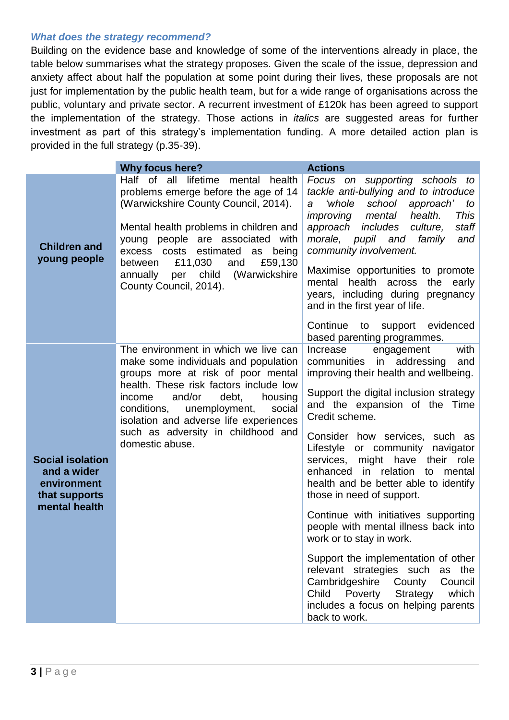#### *What does the strategy recommend?*

Building on the evidence base and knowledge of some of the interventions already in place, the table below summarises what the strategy proposes. Given the scale of the issue, depression and anxiety affect about half the population at some point during their lives, these proposals are not just for implementation by the public health team, but for a wide range of organisations across the public, voluntary and private sector. A recurrent investment of £120k has been agreed to support the implementation of the strategy. Those actions in *italics* are suggested areas for further investment as part of this strategy's implementation funding. A more detailed action plan is provided in the full strategy (p.35-39).

|                                                                                         | <b>Why focus here?</b>                                                                                                                                                                                                                                                                                                                                   | <b>Actions</b>                                                                                                                                                                                                                                                                                                                                                                                                                                                                                                                                                                                                                                                                                                                                                         |
|-----------------------------------------------------------------------------------------|----------------------------------------------------------------------------------------------------------------------------------------------------------------------------------------------------------------------------------------------------------------------------------------------------------------------------------------------------------|------------------------------------------------------------------------------------------------------------------------------------------------------------------------------------------------------------------------------------------------------------------------------------------------------------------------------------------------------------------------------------------------------------------------------------------------------------------------------------------------------------------------------------------------------------------------------------------------------------------------------------------------------------------------------------------------------------------------------------------------------------------------|
| <b>Children and</b><br>young people                                                     | Half of all<br>lifetime<br>mental health<br>problems emerge before the age of 14<br>(Warwickshire County Council, 2014).<br>Mental health problems in children and<br>young people are associated with<br>excess costs estimated as<br>being<br>£11,030<br>and<br>£59,130<br>between<br>per child<br>(Warwickshire<br>annually<br>County Council, 2014). | Focus on supporting schools to<br>tackle anti-bullying and to introduce<br>school<br>approach'<br>'whole<br>to<br>a<br>health.<br>This<br><i>improving mental</i><br>approach includes culture,<br>staff<br>morale, pupil and family<br>and<br>community involvement.<br>Maximise opportunities to promote<br>mental health across the<br>early<br>years, including during pregnancy<br>and in the first year of life.<br>Continue<br>support evidenced<br>to                                                                                                                                                                                                                                                                                                          |
|                                                                                         |                                                                                                                                                                                                                                                                                                                                                          | based parenting programmes.                                                                                                                                                                                                                                                                                                                                                                                                                                                                                                                                                                                                                                                                                                                                            |
| <b>Social isolation</b><br>and a wider<br>environment<br>that supports<br>mental health | The environment in which we live can<br>make some individuals and population<br>groups more at risk of poor mental<br>health. These risk factors include low<br>and/or<br>debt,<br>housing<br>income<br>conditions, unemployment,<br>social<br>isolation and adverse life experiences<br>such as adversity in childhood and<br>domestic abuse.           | Increase<br>with<br>engagement<br>in addressing<br>communities<br>and<br>improving their health and wellbeing.<br>Support the digital inclusion strategy<br>and the expansion of the Time<br>Credit scheme.<br>Consider how services, such as<br>Lifestyle<br>or community<br>navigator<br>services, might have their role<br>enhanced in relation<br>to<br>mental<br>health and be better able to identify<br>those in need of support.<br>Continue with initiatives supporting<br>people with mental illness back into<br>work or to stay in work.<br>Support the implementation of other<br>relevant strategies such<br>as the<br>Cambridgeshire<br>County<br>Council<br>Poverty Strategy<br>which<br>Child<br>includes a focus on helping parents<br>back to work. |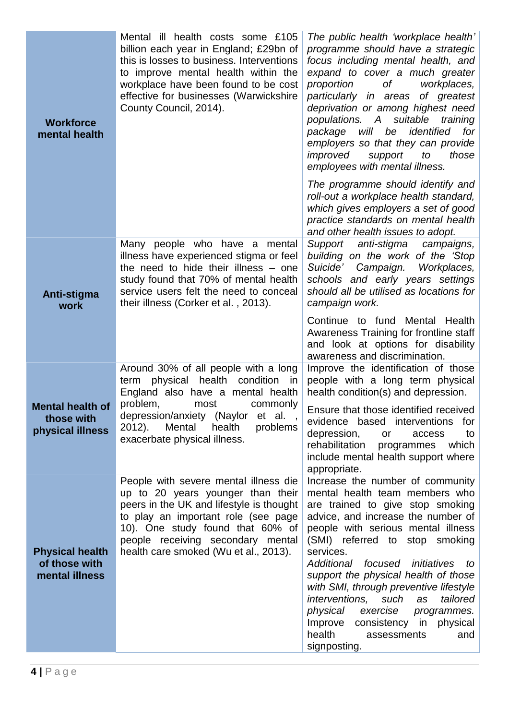| <b>Workforce</b><br>mental health                         | Mental ill health costs some £105<br>billion each year in England; £29bn of<br>this is losses to business. Interventions<br>to improve mental health within the<br>workplace have been found to be cost<br>effective for businesses (Warwickshire<br>County Council, 2014).     | The public health 'workplace health'<br>programme should have a strategic<br>focus including mental health, and<br>expand to cover a much greater<br>proportion<br>оf<br>workplaces,<br>particularly in areas of greatest<br>deprivation or among highest need<br>populations. A suitable training<br>package will be identified for<br>employers so that they can provide<br>improved<br>those<br>support<br>to<br>employees with mental illness.<br>The programme should identify and<br>roll-out a workplace health standard,               |
|-----------------------------------------------------------|---------------------------------------------------------------------------------------------------------------------------------------------------------------------------------------------------------------------------------------------------------------------------------|------------------------------------------------------------------------------------------------------------------------------------------------------------------------------------------------------------------------------------------------------------------------------------------------------------------------------------------------------------------------------------------------------------------------------------------------------------------------------------------------------------------------------------------------|
|                                                           |                                                                                                                                                                                                                                                                                 | which gives employers a set of good<br>practice standards on mental health<br>and other health issues to adopt.                                                                                                                                                                                                                                                                                                                                                                                                                                |
| Anti-stigma<br>work                                       | Many people who have a mental<br>illness have experienced stigma or feel<br>the need to hide their illness – one<br>study found that 70% of mental health<br>service users felt the need to conceal<br>their illness (Corker et al., 2013).                                     | anti-stigma campaigns,<br>Support<br>building on the work of the 'Stop<br>Suicide'<br>Campaign.<br>Workplaces,<br>schools and early years settings<br>should all be utilised as locations for<br>campaign work.                                                                                                                                                                                                                                                                                                                                |
|                                                           |                                                                                                                                                                                                                                                                                 | Continue to fund Mental Health<br>Awareness Training for frontline staff<br>and look at options for disability<br>awareness and discrimination.                                                                                                                                                                                                                                                                                                                                                                                                |
| <b>Mental health of</b>                                   | Around 30% of all people with a long<br>physical health condition<br>term<br>in<br>England also have a mental health<br>problem,<br>most<br>commonly                                                                                                                            | Improve the identification of those<br>people with a long term physical<br>health condition(s) and depression.                                                                                                                                                                                                                                                                                                                                                                                                                                 |
| those with<br>physical illness                            | depression/anxiety (Naylor et al.,<br>Mental<br>2012).<br>health<br>problems<br>exacerbate physical illness.                                                                                                                                                                    | Ensure that those identified received<br>evidence based interventions<br>for<br>depression,<br>or<br>access<br>to<br>rehabilitation<br>programmes<br>which<br>include mental health support where<br>appropriate.                                                                                                                                                                                                                                                                                                                              |
| <b>Physical health</b><br>of those with<br>mental illness | People with severe mental illness die<br>up to 20 years younger than their<br>peers in the UK and lifestyle is thought<br>to play an important role (see page<br>10). One study found that 60% of<br>people receiving secondary mental<br>health care smoked (Wu et al., 2013). | Increase the number of community<br>mental health team members who<br>are trained to give stop smoking<br>advice, and increase the number of<br>people with serious mental illness<br>(SMI) referred to stop smoking<br>services.<br>Additional<br>focused initiatives<br>to<br>support the physical health of those<br>with SMI, through preventive lifestyle<br><i>interventions,</i><br>such as<br>tailored<br>physical<br>exercise<br>programmes.<br>Improve<br>consistency in<br>physical<br>health<br>assessments<br>and<br>signposting. |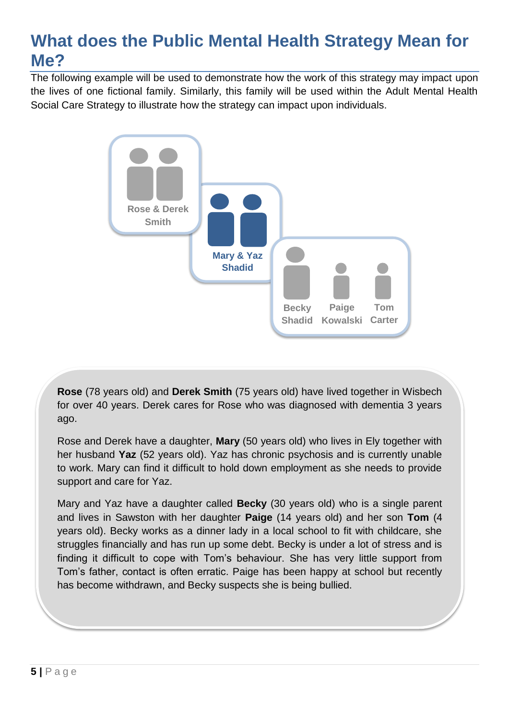# **What does the Public Mental Health Strategy Mean for Me?**

The following example will be used to demonstrate how the work of this strategy may impact upon the lives of one fictional family. Similarly, this family will be used within the Adult Mental Health Social Care Strategy to illustrate how the strategy can impact upon individuals.



**Rose** (78 years old) and **Derek Smith** (75 years old) have lived together in Wisbech for over 40 years. Derek cares for Rose who was diagnosed with dementia 3 years ago.

Rose and Derek have a daughter, **Mary** (50 years old) who lives in Ely together with her husband **Yaz** (52 years old). Yaz has chronic psychosis and is currently unable to work. Mary can find it difficult to hold down employment as she needs to provide support and care for Yaz.

Mary and Yaz have a daughter called **Becky** (30 years old) who is a single parent and lives in Sawston with her daughter **Paige** (14 years old) and her son **Tom** (4 years old). Becky works as a dinner lady in a local school to fit with childcare, she struggles financially and has run up some debt. Becky is under a lot of stress and is finding it difficult to cope with Tom's behaviour. She has very little support from Tom's father, contact is often erratic. Paige has been happy at school but recently has become withdrawn, and Becky suspects she is being bullied.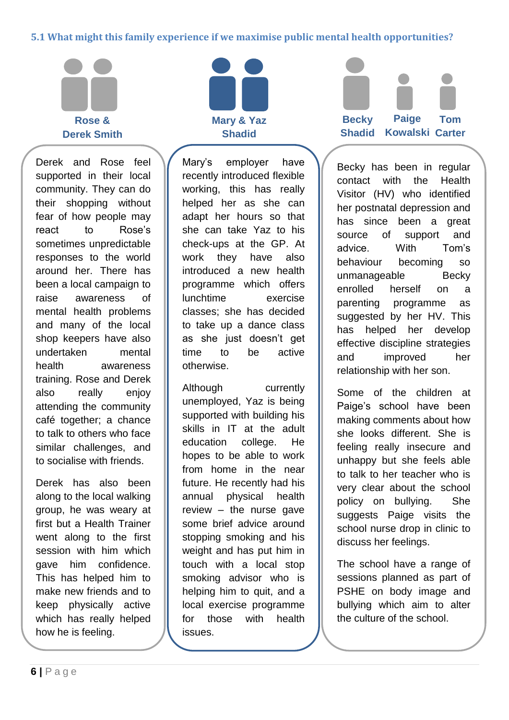#### **5.1 What might this family experience if we maximise public mental health opportunities?**



Derek and Rose feel supported in their local community. They can do their shopping without fear of how people may react to Rose's sometimes unpredictable responses to the world around her. There has been a local campaign to raise awareness of mental health problems and many of the local shop keepers have also undertaken mental health awareness training. Rose and Derek also really enjoy attending the community café together; a chance to talk to others who face similar challenges, and to socialise with friends.

Derek has also been along to the local walking group, he was weary at first but a Health Trainer went along to the first session with him which gave him confidence. This has helped him to make new friends and to keep physically active which has really helped how he is feeling.



Mary's employer have recently introduced flexible working, this has really helped her as she can adapt her hours so that she can take Yaz to his check-ups at the GP. At work they have also introduced a new health programme which offers lunchtime exercise classes; she has decided to take up a dance class as she just doesn't get time to be active otherwise.

Although currently unemployed, Yaz is being supported with building his skills in IT at the adult education college. He hopes to be able to work from home in the near future. He recently had his annual physical health review – the nurse gave some brief advice around stopping smoking and his weight and has put him in touch with a local stop smoking advisor who is helping him to quit, and a local exercise programme for those with health issues.

### **Becky Shadid Kowalski Carter Paige Tom**

Becky has been in regular contact with the Health Visitor (HV) who identified her postnatal depression and has since been a great source of support and advice. With Tom's behaviour becoming so unmanageable Becky enrolled herself on a parenting programme as suggested by her HV. This has helped her develop effective discipline strategies and improved her relationship with her son.

Some of the children at Paige's school have been making comments about how she looks different. She is feeling really insecure and unhappy but she feels able to talk to her teacher who is very clear about the school policy on bullying. She suggests Paige visits the school nurse drop in clinic to discuss her feelings.

The school have a range of sessions planned as part of PSHE on body image and bullying which aim to alter the culture of the school.